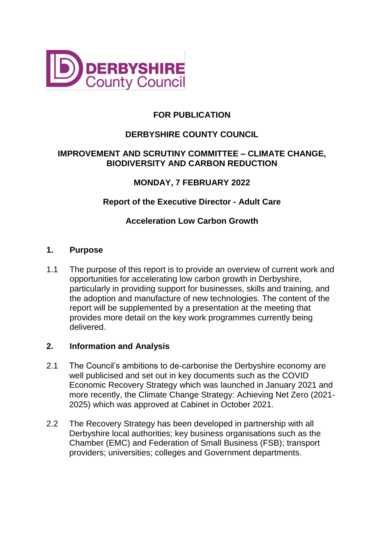

# **FOR PUBLICATION**

# **DERBYSHIRE COUNTY COUNCIL**

### **IMPROVEMENT AND SCRUTINY COMMITTEE – CLIMATE CHANGE, BIODIVERSITY AND CARBON REDUCTION**

## **MONDAY, 7 FEBRUARY 2022**

### **Report of the Executive Director - Adult Care**

## **Acceleration Low Carbon Growth**

### **1. Purpose**

1.1 The purpose of this report is to provide an overview of current work and opportunities for accelerating low carbon growth in Derbyshire, particularly in providing support for businesses, skills and training, and the adoption and manufacture of new technologies. The content of the report will be supplemented by a presentation at the meeting that provides more detail on the key work programmes currently being delivered.

### **2. Information and Analysis**

- 2.1 The Council's ambitions to de-carbonise the Derbyshire economy are well publicised and set out in key documents such as the COVID Economic Recovery Strategy which was launched in January 2021 and more recently, the Climate Change Strategy: Achieving Net Zero (2021- 2025) which was approved at Cabinet in October 2021.
- 2.2 The Recovery Strategy has been developed in partnership with all Derbyshire local authorities; key business organisations such as the Chamber (EMC) and Federation of Small Business (FSB); transport providers; universities; colleges and Government departments.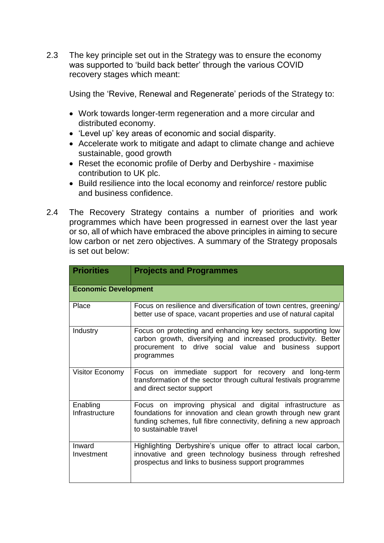2.3 The key principle set out in the Strategy was to ensure the economy was supported to 'build back better' through the various COVID recovery stages which meant:

Using the 'Revive, Renewal and Regenerate' periods of the Strategy to:

- Work towards longer-term regeneration and a more circular and distributed economy.
- 'Level up' key areas of economic and social disparity.
- Accelerate work to mitigate and adapt to climate change and achieve sustainable, good growth
- Reset the economic profile of Derby and Derbyshire maximise contribution to UK plc.
- Build resilience into the local economy and reinforce/ restore public and business confidence.
- 2.4 The Recovery Strategy contains a number of priorities and work programmes which have been progressed in earnest over the last year or so, all of which have embraced the above principles in aiming to secure low carbon or net zero objectives. A summary of the Strategy proposals is set out below:

| <b>Priorities</b>           | <b>Projects and Programmes</b>                                                                                                                                                                                           |  |  |  |
|-----------------------------|--------------------------------------------------------------------------------------------------------------------------------------------------------------------------------------------------------------------------|--|--|--|
| <b>Economic Development</b> |                                                                                                                                                                                                                          |  |  |  |
| Place                       | Focus on resilience and diversification of town centres, greening/<br>better use of space, vacant properties and use of natural capital                                                                                  |  |  |  |
| Industry                    | Focus on protecting and enhancing key sectors, supporting low<br>carbon growth, diversifying and increased productivity. Better<br>procurement to drive social value and business support<br>programmes                  |  |  |  |
| Visitor Economy             | Focus on immediate support for recovery and long-term<br>transformation of the sector through cultural festivals programme<br>and direct sector support                                                                  |  |  |  |
| Enabling<br>Infrastructure  | Focus on improving physical and digital infrastructure as<br>foundations for innovation and clean growth through new grant<br>funding schemes, full fibre connectivity, defining a new approach<br>to sustainable travel |  |  |  |
| Inward<br>Investment        | Highlighting Derbyshire's unique offer to attract local carbon,<br>innovative and green technology business through refreshed<br>prospectus and links to business support programmes                                     |  |  |  |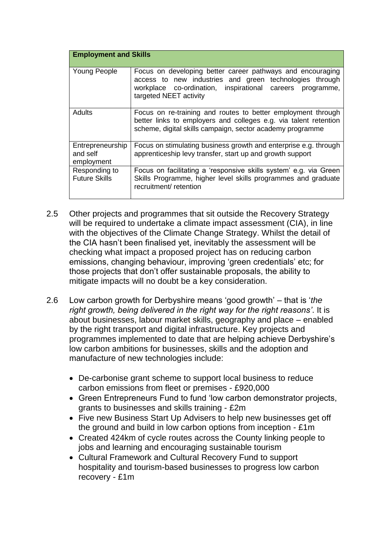| <b>Employment and Skills</b>               |                                                                                                                                                                                                              |  |  |  |
|--------------------------------------------|--------------------------------------------------------------------------------------------------------------------------------------------------------------------------------------------------------------|--|--|--|
| <b>Young People</b>                        | Focus on developing better career pathways and encouraging<br>access to new industries and green technologies through<br>workplace co-ordination, inspirational careers programme,<br>targeted NEET activity |  |  |  |
| <b>Adults</b>                              | Focus on re-training and routes to better employment through<br>better links to employers and colleges e.g. via talent retention<br>scheme, digital skills campaign, sector academy programme                |  |  |  |
| Entrepreneurship<br>and self<br>employment | Focus on stimulating business growth and enterprise e.g. through<br>apprenticeship levy transfer, start up and growth support                                                                                |  |  |  |
| Responding to<br><b>Future Skills</b>      | Focus on facilitating a 'responsive skills system' e.g. via Green<br>Skills Programme, higher level skills programmes and graduate<br>recruitment/ retention                                                 |  |  |  |

- 2.5 Other projects and programmes that sit outside the Recovery Strategy will be required to undertake a climate impact assessment (CIA), in line with the objectives of the Climate Change Strategy. Whilst the detail of the CIA hasn't been finalised yet, inevitably the assessment will be checking what impact a proposed project has on reducing carbon emissions, changing behaviour, improving 'green credentials' etc; for those projects that don't offer sustainable proposals, the ability to mitigate impacts will no doubt be a key consideration.
- 2.6 Low carbon growth for Derbyshire means 'good growth' that is '*the right growth, being delivered in the right way for the right reasons'*. It is about businesses, labour market skills, geography and place – enabled by the right transport and digital infrastructure. Key projects and programmes implemented to date that are helping achieve Derbyshire's low carbon ambitions for businesses, skills and the adoption and manufacture of new technologies include:
	- De-carbonise grant scheme to support local business to reduce carbon emissions from fleet or premises - £920,000
	- Green Entrepreneurs Fund to fund 'low carbon demonstrator projects, grants to businesses and skills training - £2m
	- Five new Business Start Up Advisers to help new businesses get off the ground and build in low carbon options from inception - £1m
	- Created 424km of cycle routes across the County linking people to jobs and learning and encouraging sustainable tourism
	- Cultural Framework and Cultural Recovery Fund to support hospitality and tourism-based businesses to progress low carbon recovery - £1m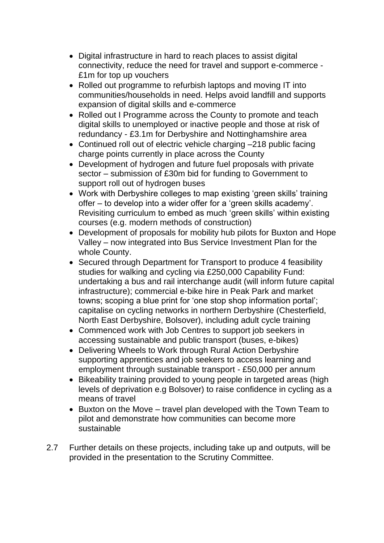- Digital infrastructure in hard to reach places to assist digital connectivity, reduce the need for travel and support e-commerce - £1m for top up vouchers
- Rolled out programme to refurbish laptops and moving IT into communities/households in need. Helps avoid landfill and supports expansion of digital skills and e-commerce
- Rolled out I Programme across the County to promote and teach digital skills to unemployed or inactive people and those at risk of redundancy - £3.1m for Derbyshire and Nottinghamshire area
- Continued roll out of electric vehicle charging –218 public facing charge points currently in place across the County
- Development of hydrogen and future fuel proposals with private sector – submission of £30m bid for funding to Government to support roll out of hydrogen buses
- Work with Derbyshire colleges to map existing 'green skills' training offer – to develop into a wider offer for a 'green skills academy'. Revisiting curriculum to embed as much 'green skills' within existing courses (e.g. modern methods of construction)
- Development of proposals for mobility hub pilots for Buxton and Hope Valley – now integrated into Bus Service Investment Plan for the whole County.
- Secured through Department for Transport to produce 4 feasibility studies for walking and cycling via £250,000 Capability Fund: undertaking a bus and rail interchange audit (will inform future capital infrastructure); commercial e-bike hire in Peak Park and market towns; scoping a blue print for 'one stop shop information portal'; capitalise on cycling networks in northern Derbyshire (Chesterfield, North East Derbyshire, Bolsover), including adult cycle training
- Commenced work with Job Centres to support job seekers in accessing sustainable and public transport (buses, e-bikes)
- Delivering Wheels to Work through Rural Action Derbyshire supporting apprentices and job seekers to access learning and employment through sustainable transport - £50,000 per annum
- Bikeability training provided to young people in targeted areas (high levels of deprivation e.g Bolsover) to raise confidence in cycling as a means of travel
- Buxton on the Move travel plan developed with the Town Team to pilot and demonstrate how communities can become more sustainable
- 2.7 Further details on these projects, including take up and outputs, will be provided in the presentation to the Scrutiny Committee.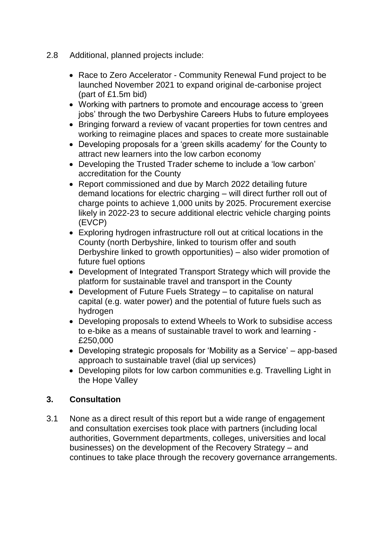- 2.8 Additional, planned projects include:
	- Race to Zero Accelerator Community Renewal Fund project to be launched November 2021 to expand original de-carbonise project (part of £1.5m bid)
	- Working with partners to promote and encourage access to 'green jobs' through the two Derbyshire Careers Hubs to future employees
	- Bringing forward a review of vacant properties for town centres and working to reimagine places and spaces to create more sustainable
	- Developing proposals for a 'green skills academy' for the County to attract new learners into the low carbon economy
	- Developing the Trusted Trader scheme to include a 'low carbon' accreditation for the County
	- Report commissioned and due by March 2022 detailing future demand locations for electric charging – will direct further roll out of charge points to achieve 1,000 units by 2025. Procurement exercise likely in 2022-23 to secure additional electric vehicle charging points (EVCP)
	- Exploring hydrogen infrastructure roll out at critical locations in the County (north Derbyshire, linked to tourism offer and south Derbyshire linked to growth opportunities) – also wider promotion of future fuel options
	- Development of Integrated Transport Strategy which will provide the platform for sustainable travel and transport in the County
	- Development of Future Fuels Strategy to capitalise on natural capital (e.g. water power) and the potential of future fuels such as hydrogen
	- Developing proposals to extend Wheels to Work to subsidise access to e-bike as a means of sustainable travel to work and learning - £250,000
	- Developing strategic proposals for 'Mobility as a Service' app-based approach to sustainable travel (dial up services)
	- Developing pilots for low carbon communities e.g. Travelling Light in the Hope Valley

## **3. Consultation**

3.1 None as a direct result of this report but a wide range of engagement and consultation exercises took place with partners (including local authorities, Government departments, colleges, universities and local businesses) on the development of the Recovery Strategy – and continues to take place through the recovery governance arrangements.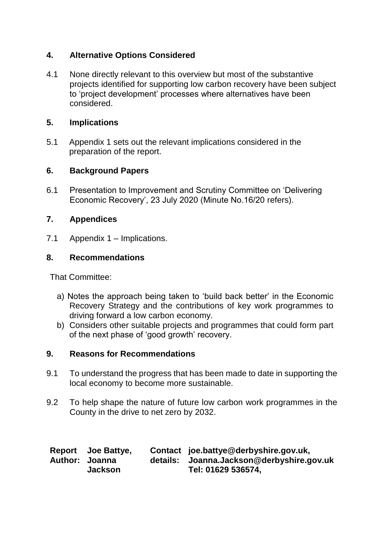# **4. Alternative Options Considered**

4.1 None directly relevant to this overview but most of the substantive projects identified for supporting low carbon recovery have been subject to 'project development' processes where alternatives have been considered.

# **5. Implications**

5.1 Appendix 1 sets out the relevant implications considered in the preparation of the report.

# **6. Background Papers**

6.1 Presentation to Improvement and Scrutiny Committee on 'Delivering Economic Recovery', 23 July 2020 (Minute No.16/20 refers).

# **7. Appendices**

7.1 Appendix 1 – Implications.

# **8. Recommendations**

That Committee:

- a) Notes the approach being taken to 'build back better' in the Economic Recovery Strategy and the contributions of key work programmes to driving forward a low carbon economy.
- b) Considers other suitable projects and programmes that could form part of the next phase of 'good growth' recovery.

# **9. Reasons for Recommendations**

- 9.1 To understand the progress that has been made to date in supporting the local economy to become more sustainable.
- 9.2 To help shape the nature of future low carbon work programmes in the County in the drive to net zero by 2032.

| Report Joe Battye, | Contact joe.battye@derbyshire.gov.uk,     |
|--------------------|-------------------------------------------|
| Author: Joanna     | details: Joanna.Jackson@derbyshire.gov.uk |
| <b>Jackson</b>     | Tel: 01629 536574,                        |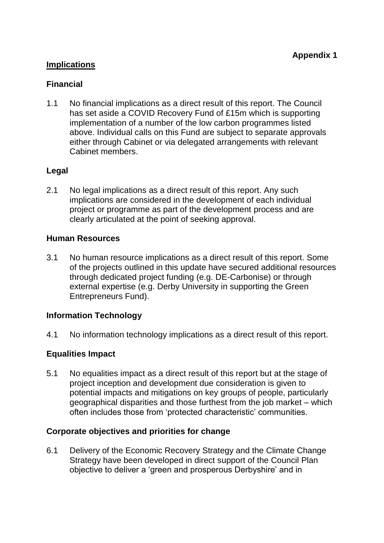## **Implications**

### **Financial**

1.1 No financial implications as a direct result of this report. The Council has set aside a COVID Recovery Fund of £15m which is supporting implementation of a number of the low carbon programmes listed above. Individual calls on this Fund are subject to separate approvals either through Cabinet or via delegated arrangements with relevant Cabinet members.

## **Legal**

2.1 No legal implications as a direct result of this report. Any such implications are considered in the development of each individual project or programme as part of the development process and are clearly articulated at the point of seeking approval.

### **Human Resources**

3.1 No human resource implications as a direct result of this report. Some of the projects outlined in this update have secured additional resources through dedicated project funding (e.g. DE-Carbonise) or through external expertise (e.g. Derby University in supporting the Green Entrepreneurs Fund).

### **Information Technology**

4.1 No information technology implications as a direct result of this report.

## **Equalities Impact**

5.1 No equalities impact as a direct result of this report but at the stage of project inception and development due consideration is given to potential impacts and mitigations on key groups of people, particularly geographical disparities and those furthest from the job market – which often includes those from 'protected characteristic' communities.

### **Corporate objectives and priorities for change**

6.1 Delivery of the Economic Recovery Strategy and the Climate Change Strategy have been developed in direct support of the Council Plan objective to deliver a 'green and prosperous Derbyshire' and in